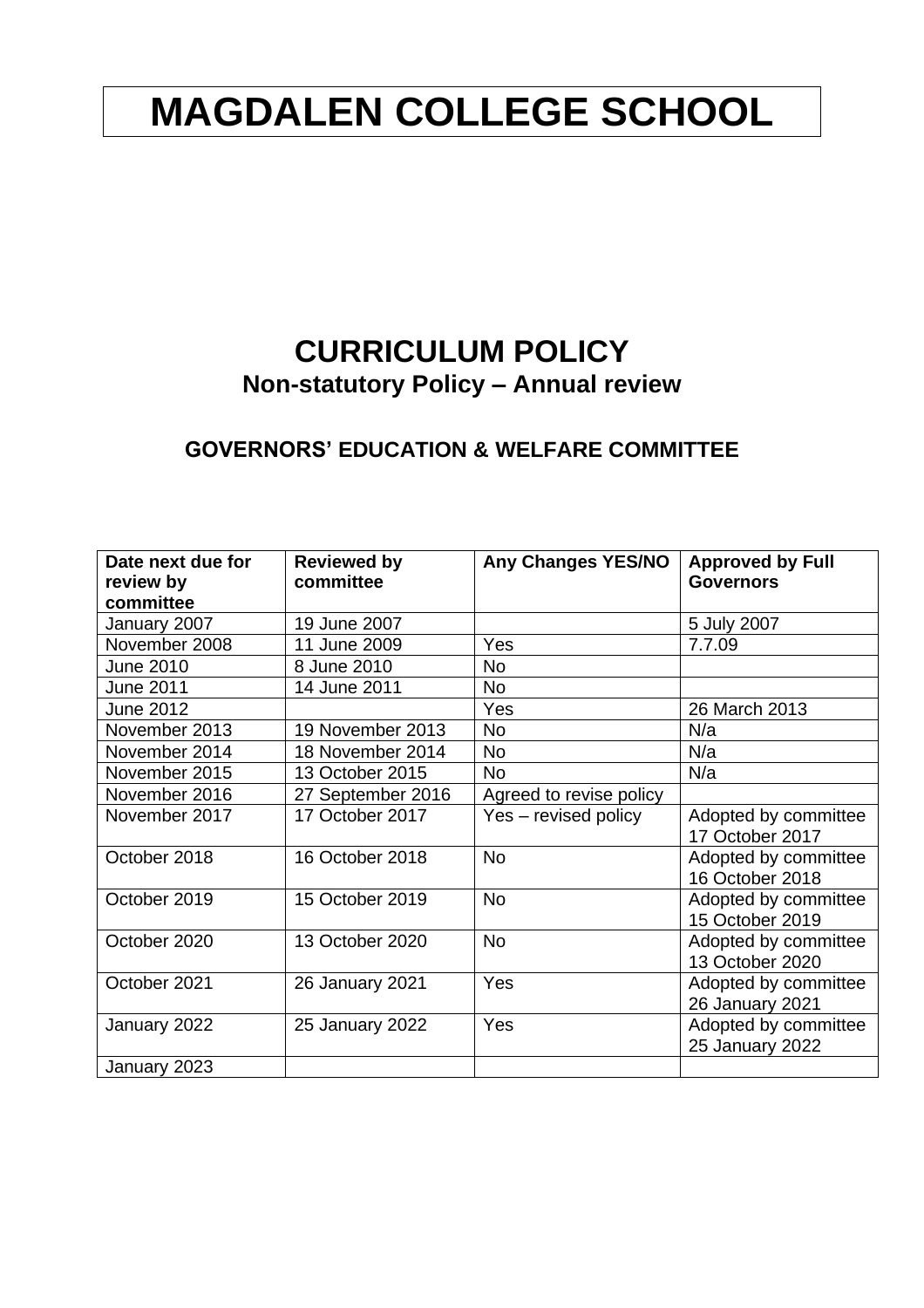# **MAGDALEN COLLEGE SCHOOL**

## **CURRICULUM POLICY Non-statutory Policy – Annual review**

### **GOVERNORS' EDUCATION & WELFARE COMMITTEE**

| Date next due for<br>review by | <b>Reviewed by</b><br>committee | <b>Any Changes YES/NO</b> | <b>Approved by Full</b><br><b>Governors</b> |
|--------------------------------|---------------------------------|---------------------------|---------------------------------------------|
| committee                      |                                 |                           |                                             |
| January 2007                   | 19 June 2007                    |                           | 5 July 2007                                 |
| November 2008                  | 11 June 2009                    | Yes                       | 7.7.09                                      |
| <b>June 2010</b>               | 8 June 2010                     | <b>No</b>                 |                                             |
| <b>June 2011</b>               | 14 June 2011                    | No                        |                                             |
| <b>June 2012</b>               |                                 | Yes                       | 26 March 2013                               |
| November 2013                  | 19 November 2013                | <b>No</b>                 | N/a                                         |
| November 2014                  | 18 November 2014                | No                        | N/a                                         |
| November 2015                  | 13 October 2015                 | <b>No</b>                 | N/a                                         |
| November 2016                  | 27 September 2016               | Agreed to revise policy   |                                             |
| November 2017                  | 17 October 2017                 | Yes - revised policy      | Adopted by committee                        |
|                                |                                 |                           | 17 October 2017                             |
| October 2018                   | 16 October 2018                 | <b>No</b>                 | Adopted by committee<br>16 October 2018     |
|                                |                                 |                           |                                             |
| October 2019                   | 15 October 2019                 | <b>No</b>                 | Adopted by committee<br>15 October 2019     |
| October 2020                   | 13 October 2020                 | <b>No</b>                 | Adopted by committee                        |
|                                |                                 |                           | 13 October 2020                             |
| October 2021                   | 26 January 2021                 | Yes                       | Adopted by committee                        |
|                                |                                 |                           | 26 January 2021                             |
| January 2022                   | 25 January 2022                 | Yes                       | Adopted by committee                        |
|                                |                                 |                           | 25 January 2022                             |
| January 2023                   |                                 |                           |                                             |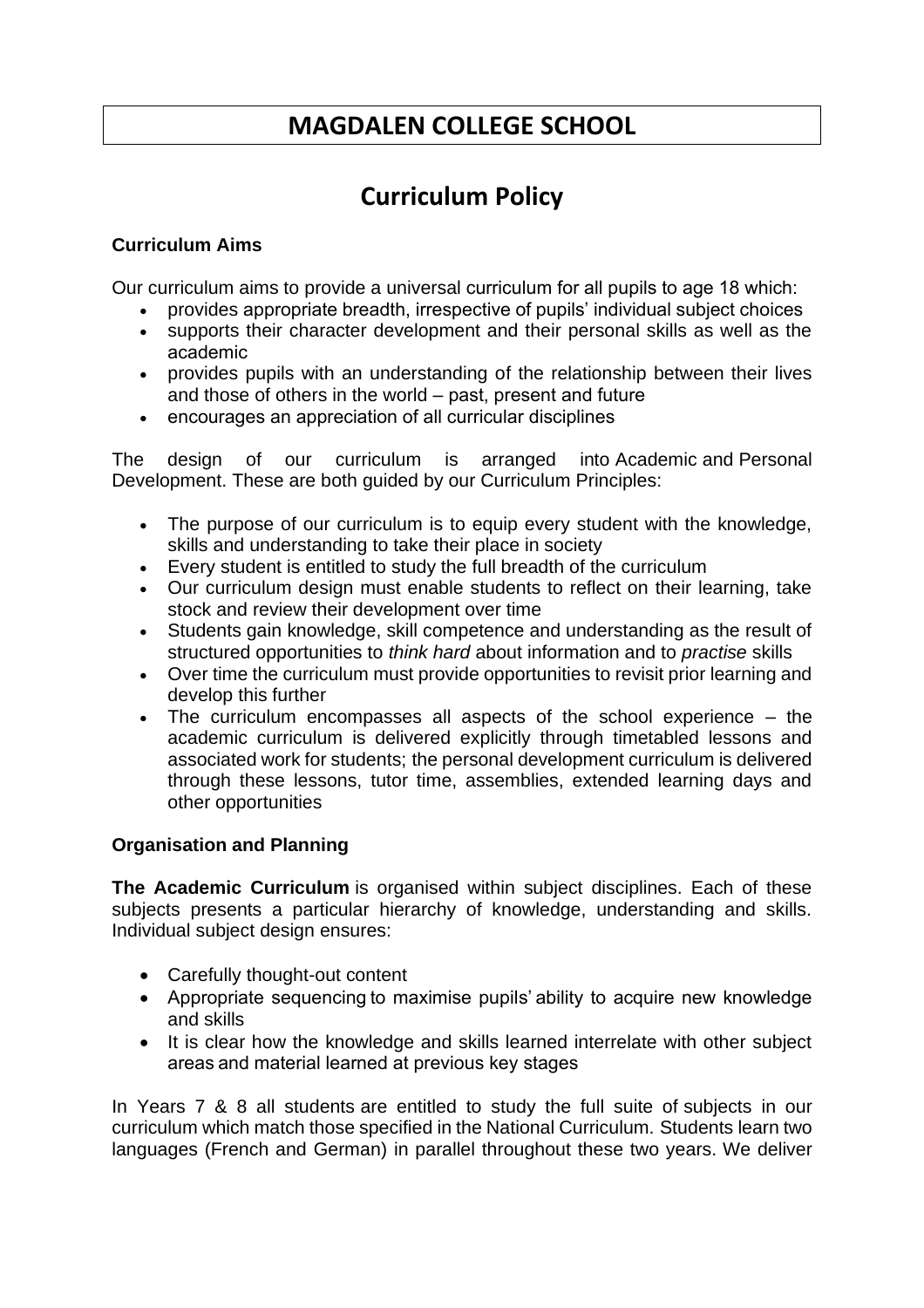## **MAGDALEN COLLEGE SCHOOL**

## **Curriculum Policy**

#### **Curriculum Aims**

Our curriculum aims to provide a universal curriculum for all pupils to age 18 which: 

- provides appropriate breadth, irrespective of pupils' individual subject choices
- supports their character development and their personal skills as well as the academic
- provides pupils with an understanding of the relationship between their lives and those of others in the world – past, present and future
- encourages an appreciation of all curricular disciplines

The design of our curriculum is arranged into Academic and Personal Development. These are both guided by our Curriculum Principles:

- The purpose of our curriculum is to equip every student with the knowledge, skills and understanding to take their place in society
- Every student is entitled to study the full breadth of the curriculum
- Our curriculum design must enable students to reflect on their learning, take stock and review their development over time
- Students gain knowledge, skill competence and understanding as the result of structured opportunities to *think hard* about information and to *practise* skills
- Over time the curriculum must provide opportunities to revisit prior learning and develop this further
- The curriculum encompasses all aspects of the school experience the academic curriculum is delivered explicitly through timetabled lessons and associated work for students; the personal development curriculum is delivered through these lessons, tutor time, assemblies, extended learning days and other opportunities

#### **Organisation and Planning**

**The Academic Curriculum** is organised within subject disciplines. Each of these subjects presents a particular hierarchy of knowledge, understanding and skills. Individual subject design ensures:

- Carefully thought-out content
- Appropriate sequencing to maximise pupils' ability to acquire new knowledge and skills
- It is clear how the knowledge and skills learned interrelate with other subject areas and material learned at previous key stages

In Years 7 & 8 all students are entitled to study the full suite of subjects in our curriculum which match those specified in the National Curriculum. Students learn two languages (French and German) in parallel throughout these two years. We deliver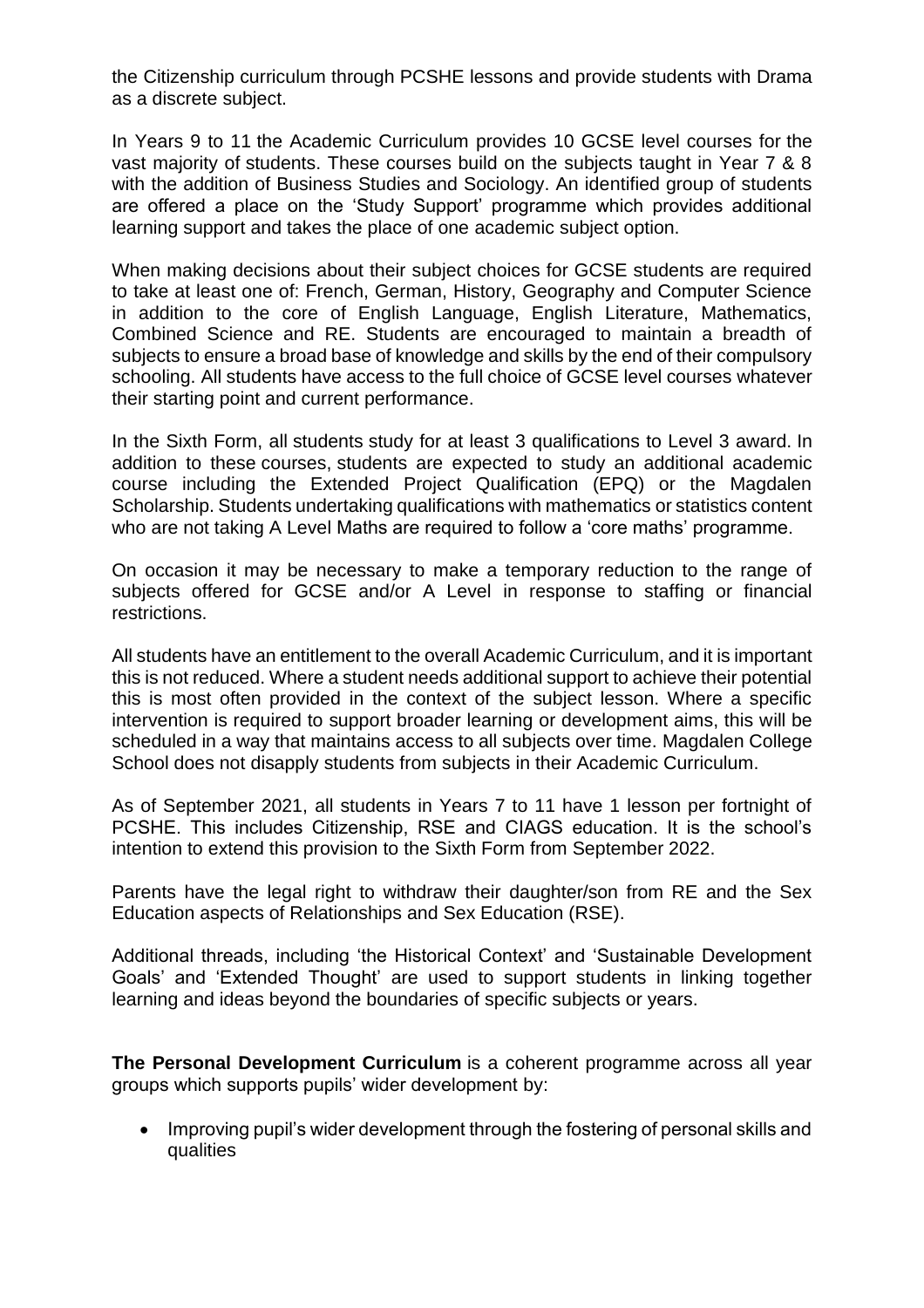the Citizenship curriculum through PCSHE lessons and provide students with Drama as a discrete subject.

In Years 9 to 11 the Academic Curriculum provides 10 GCSE level courses for the vast majority of students. These courses build on the subjects taught in Year 7 & 8 with the addition of Business Studies and Sociology. An identified group of students are offered a place on the 'Study Support' programme which provides additional learning support and takes the place of one academic subject option.

When making decisions about their subject choices for GCSE students are required to take at least one of: French, German, History, Geography and Computer Science in addition to the core of English Language, English Literature, Mathematics, Combined Science and RE. Students are encouraged to maintain a breadth of subjects to ensure a broad base of knowledge and skills by the end of their compulsory schooling. All students have access to the full choice of GCSE level courses whatever their starting point and current performance.

In the Sixth Form, all students study for at least 3 qualifications to Level 3 award. In addition to these courses, students are expected to study an additional academic course including the Extended Project Qualification (EPQ) or the Magdalen Scholarship. Students undertaking qualifications with mathematics or statistics content who are not taking A Level Maths are required to follow a 'core maths' programme.

On occasion it may be necessary to make a temporary reduction to the range of subjects offered for GCSE and/or A Level in response to staffing or financial restrictions.

All students have an entitlement to the overall Academic Curriculum, and it is important this is not reduced. Where a student needs additional support to achieve their potential this is most often provided in the context of the subject lesson. Where a specific intervention is required to support broader learning or development aims, this will be scheduled in a way that maintains access to all subjects over time. Magdalen College School does not disapply students from subjects in their Academic Curriculum.

As of September 2021, all students in Years 7 to 11 have 1 lesson per fortnight of PCSHE. This includes Citizenship, RSE and CIAGS education. It is the school's intention to extend this provision to the Sixth Form from September 2022.

Parents have the legal right to withdraw their daughter/son from RE and the Sex Education aspects of Relationships and Sex Education (RSE).

Additional threads, including 'the Historical Context' and 'Sustainable Development Goals' and 'Extended Thought' are used to support students in linking together learning and ideas beyond the boundaries of specific subjects or years.

**The Personal Development Curriculum** is a coherent programme across all year groups which supports pupils' wider development by:

• Improving pupil's wider development through the fostering of personal skills and qualities